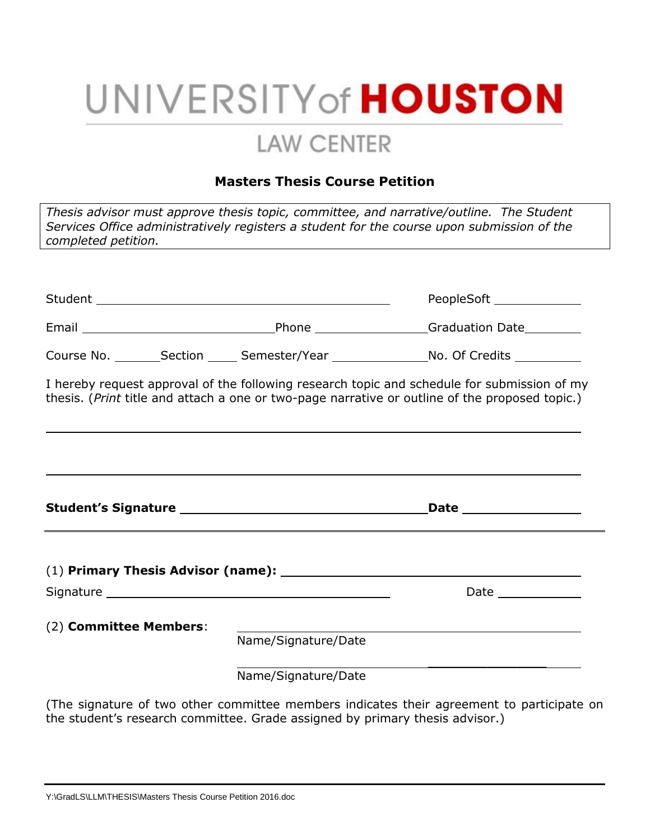## UNIVERSITY of **HOUSTON**

### **LAW CENTER**

### **Masters Thesis Course Petition**

| completed petition.                                                                                                                                                                                                            | <u> 1989 - Johann Stoff, deutscher Stoff, der Stoff, der Stoff, der Stoff, der Stoff, der Stoff, der Stoff, der S</u> | Thesis advisor must approve thesis topic, committee, and narrative/outline. The Student<br>Services Office administratively registers a student for the course upon submission of the |
|--------------------------------------------------------------------------------------------------------------------------------------------------------------------------------------------------------------------------------|-----------------------------------------------------------------------------------------------------------------------|---------------------------------------------------------------------------------------------------------------------------------------------------------------------------------------|
|                                                                                                                                                                                                                                |                                                                                                                       |                                                                                                                                                                                       |
|                                                                                                                                                                                                                                |                                                                                                                       | PeopleSoft _____________                                                                                                                                                              |
|                                                                                                                                                                                                                                |                                                                                                                       |                                                                                                                                                                                       |
|                                                                                                                                                                                                                                |                                                                                                                       | Course No. ________Section ______ Semester/Year _________________No. Of Credits ___________                                                                                           |
| I hereby request approval of the following research topic and schedule for submission of my<br>thesis. (Print title and attach a one or two-page narrative or outline of the proposed topic.)                                  |                                                                                                                       |                                                                                                                                                                                       |
|                                                                                                                                                                                                                                |                                                                                                                       |                                                                                                                                                                                       |
|                                                                                                                                                                                                                                |                                                                                                                       |                                                                                                                                                                                       |
| Signature Signature Signature and Signature Signature Signature and Signature Community of the Signature of the Signature of the Signature of the Signature of the Signature of the Signature of the Signature of the Signatur |                                                                                                                       | Date _____________                                                                                                                                                                    |
| (2) Committee Members:                                                                                                                                                                                                         | Name/Signature/Date<br>Name/Signature/Date                                                                            |                                                                                                                                                                                       |

(The signature of two other committee members indicates their agreement to participate on the student's research committee. Grade assigned by primary thesis advisor.)